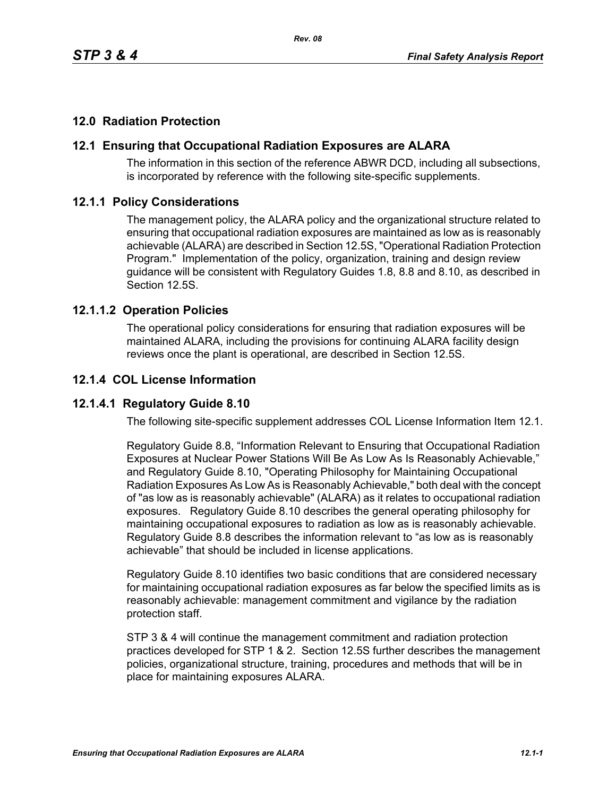# **12.0 Radiation Protection**

## **12.1 Ensuring that Occupational Radiation Exposures are ALARA**

The information in this section of the reference ABWR DCD, including all subsections, is incorporated by reference with the following site-specific supplements.

#### **12.1.1 Policy Considerations**

The management policy, the ALARA policy and the organizational structure related to ensuring that occupational radiation exposures are maintained as low as is reasonably achievable (ALARA) are described in Section 12.5S, "Operational Radiation Protection Program." Implementation of the policy, organization, training and design review guidance will be consistent with Regulatory Guides 1.8, 8.8 and 8.10, as described in Section 12.5S.

#### **12.1.1.2 Operation Policies**

The operational policy considerations for ensuring that radiation exposures will be maintained ALARA, including the provisions for continuing ALARA facility design reviews once the plant is operational, are described in Section 12.5S.

#### **12.1.4 COL License Information**

### **12.1.4.1 Regulatory Guide 8.10**

The following site-specific supplement addresses COL License Information Item 12.1.

Regulatory Guide 8.8, "Information Relevant to Ensuring that Occupational Radiation Exposures at Nuclear Power Stations Will Be As Low As Is Reasonably Achievable," and Regulatory Guide 8.10, "Operating Philosophy for Maintaining Occupational Radiation Exposures As Low As is Reasonably Achievable," both deal with the concept of "as low as is reasonably achievable" (ALARA) as it relates to occupational radiation exposures. Regulatory Guide 8.10 describes the general operating philosophy for maintaining occupational exposures to radiation as low as is reasonably achievable. Regulatory Guide 8.8 describes the information relevant to "as low as is reasonably achievable" that should be included in license applications.

Regulatory Guide 8.10 identifies two basic conditions that are considered necessary for maintaining occupational radiation exposures as far below the specified limits as is reasonably achievable: management commitment and vigilance by the radiation protection staff.

STP 3 & 4 will continue the management commitment and radiation protection practices developed for STP 1 & 2. Section 12.5S further describes the management policies, organizational structure, training, procedures and methods that will be in place for maintaining exposures ALARA.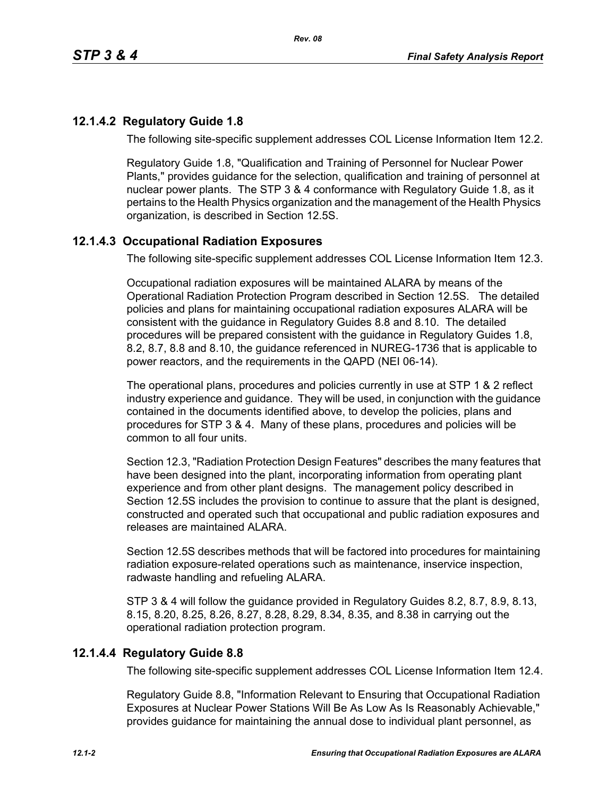## **12.1.4.2 Regulatory Guide 1.8**

The following site-specific supplement addresses COL License Information Item 12.2.

Regulatory Guide 1.8, "Qualification and Training of Personnel for Nuclear Power Plants," provides guidance for the selection, qualification and training of personnel at nuclear power plants. The STP 3 & 4 conformance with Regulatory Guide 1.8, as it pertains to the Health Physics organization and the management of the Health Physics organization, is described in Section 12.5S.

#### **12.1.4.3 Occupational Radiation Exposures**

The following site-specific supplement addresses COL License Information Item 12.3.

Occupational radiation exposures will be maintained ALARA by means of the Operational Radiation Protection Program described in Section 12.5S. The detailed policies and plans for maintaining occupational radiation exposures ALARA will be consistent with the guidance in Regulatory Guides 8.8 and 8.10. The detailed procedures will be prepared consistent with the guidance in Regulatory Guides 1.8, 8.2, 8.7, 8.8 and 8.10, the guidance referenced in NUREG-1736 that is applicable to power reactors, and the requirements in the QAPD (NEI 06-14).

The operational plans, procedures and policies currently in use at STP 1 & 2 reflect industry experience and guidance. They will be used, in conjunction with the guidance contained in the documents identified above, to develop the policies, plans and procedures for STP 3 & 4. Many of these plans, procedures and policies will be common to all four units.

Section 12.3, "Radiation Protection Design Features" describes the many features that have been designed into the plant, incorporating information from operating plant experience and from other plant designs. The management policy described in Section 12.5S includes the provision to continue to assure that the plant is designed, constructed and operated such that occupational and public radiation exposures and releases are maintained ALARA.

Section 12.5S describes methods that will be factored into procedures for maintaining radiation exposure-related operations such as maintenance, inservice inspection, radwaste handling and refueling ALARA.

STP 3 & 4 will follow the guidance provided in Regulatory Guides 8.2, 8.7, 8.9, 8.13, 8.15, 8.20, 8.25, 8.26, 8.27, 8.28, 8.29, 8.34, 8.35, and 8.38 in carrying out the operational radiation protection program.

#### **12.1.4.4 Regulatory Guide 8.8**

The following site-specific supplement addresses COL License Information Item 12.4.

Regulatory Guide 8.8, "Information Relevant to Ensuring that Occupational Radiation Exposures at Nuclear Power Stations Will Be As Low As Is Reasonably Achievable," provides guidance for maintaining the annual dose to individual plant personnel, as